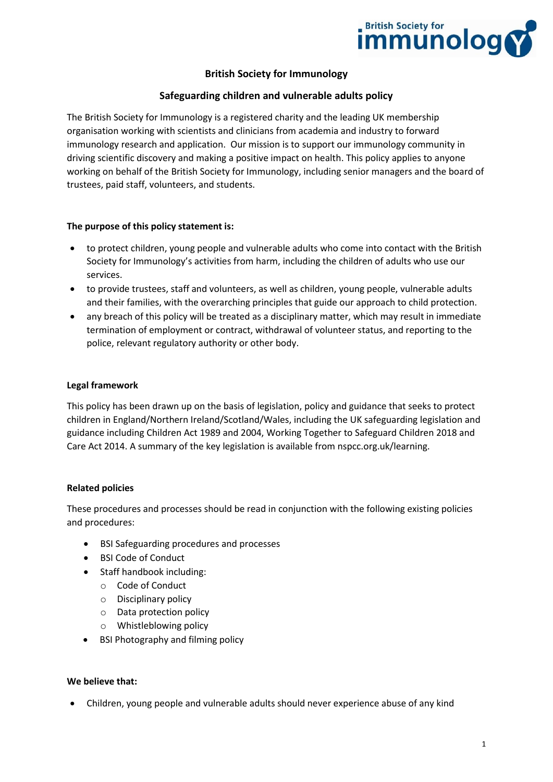

# **British Society for Immunology**

## **Safeguarding children and vulnerable adults policy**

The British Society for Immunology is a registered charity and the leading UK membership organisation working with scientists and clinicians from academia and industry to forward immunology research and application. Our mission is to support our immunology community in driving scientific discovery and making a positive impact on health. This policy applies to anyone working on behalf of the British Society for Immunology, including senior managers and the board of trustees, paid staff, volunteers, and students.

#### **The purpose of this policy statement is:**

- to protect children, young people and vulnerable adults who come into contact with the British Society for Immunology's activities from harm, including the children of adults who use our services.
- to provide trustees, staff and volunteers, as well as children, young people, vulnerable adults and their families, with the overarching principles that guide our approach to child protection.
- any breach of this policy will be treated as a disciplinary matter, which may result in immediate termination of employment or contract, withdrawal of volunteer status, and reporting to the police, relevant regulatory authority or other body.

#### **Legal framework**

This policy has been drawn up on the basis of legislation, policy and guidance that seeks to protect children in England/Northern Ireland/Scotland/Wales, including the UK safeguarding legislation and guidance including Children Act 1989 and 2004, Working Together to Safeguard Children 2018 and Care Act 2014. A summary of the key legislation is available from nspcc.org.uk/learning.

#### **Related policies**

These procedures and processes should be read in conjunction with the following existing policies and procedures:

- BSI Safeguarding procedures and processes
- BSI Code of Conduct
- Staff handbook including:
	- o Code of Conduct
	- o Disciplinary policy
	- o Data protection policy
	- o Whistleblowing policy
- BSI Photography and filming policy

#### **We believe that:**

• Children, young people and vulnerable adults should never experience abuse of any kind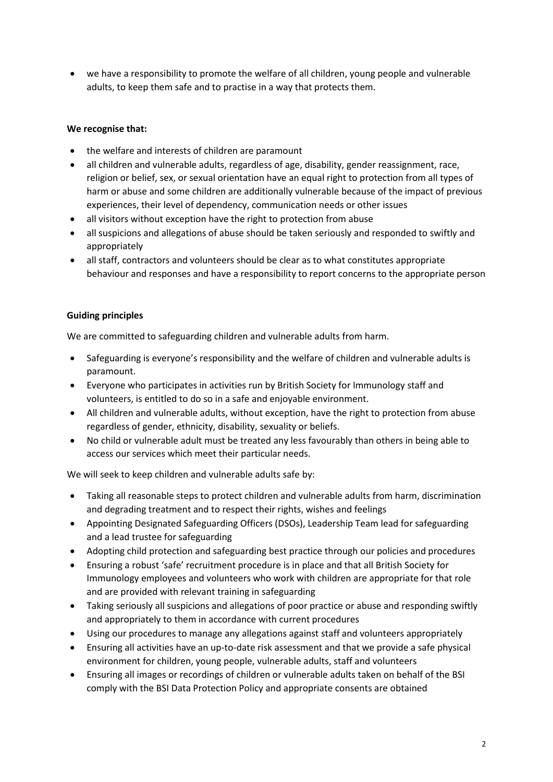• we have a responsibility to promote the welfare of all children, young people and vulnerable adults, to keep them safe and to practise in a way that protects them.

# **We recognise that:**

- the welfare and interests of children are paramount
- all children and vulnerable adults, regardless of age, disability, gender reassignment, race, religion or belief, sex, or sexual orientation have an equal right to protection from all types of harm or abuse and some children are additionally vulnerable because of the impact of previous experiences, their level of dependency, communication needs or other issues
- all visitors without exception have the right to protection from abuse
- all suspicions and allegations of abuse should be taken seriously and responded to swiftly and appropriately
- all staff, contractors and volunteers should be clear as to what constitutes appropriate behaviour and responses and have a responsibility to report concerns to the appropriate person

### **Guiding principles**

We are committed to safeguarding children and vulnerable adults from harm.

- Safeguarding is everyone's responsibility and the welfare of children and vulnerable adults is paramount.
- Everyone who participates in activities run by British Society for Immunology staff and volunteers, is entitled to do so in a safe and enjoyable environment.
- All children and vulnerable adults, without exception, have the right to protection from abuse regardless of gender, ethnicity, disability, sexuality or beliefs.
- No child or vulnerable adult must be treated any less favourably than others in being able to access our services which meet their particular needs.

We will seek to keep children and vulnerable adults safe by:

- Taking all reasonable steps to protect children and vulnerable adults from harm, discrimination and degrading treatment and to respect their rights, wishes and feelings
- Appointing Designated Safeguarding Officers (DSOs), Leadership Team lead for safeguarding and a lead trustee for safeguarding
- Adopting child protection and safeguarding best practice through our policies and procedures
- Ensuring a robust 'safe' recruitment procedure is in place and that all British Society for Immunology employees and volunteers who work with children are appropriate for that role and are provided with relevant training in safeguarding
- Taking seriously all suspicions and allegations of poor practice or abuse and responding swiftly and appropriately to them in accordance with current procedures
- Using our procedures to manage any allegations against staff and volunteers appropriately
- Ensuring all activities have an up-to-date risk assessment and that we provide a safe physical environment for children, young people, vulnerable adults, staff and volunteers
- Ensuring all images or recordings of children or vulnerable adults taken on behalf of the BSI comply with the BSI Data Protection Policy and appropriate consents are obtained